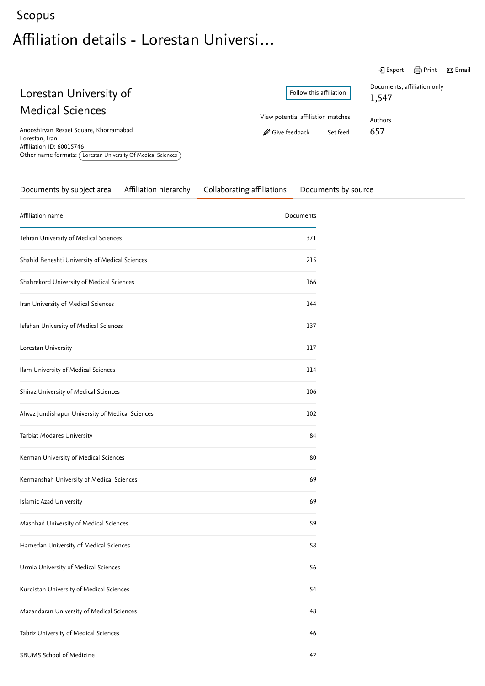## <span id="page-0-1"></span>[Scopus](https://www.scopus.com/home.uri?zone=header&origin=searchbasic) Affiliation details - Lorestan Universi…

|                                                                                                                                                       |                                    | 咼 Print<br><i>→</i> ] Export<br>$\boxtimes$ Email |
|-------------------------------------------------------------------------------------------------------------------------------------------------------|------------------------------------|---------------------------------------------------|
| Lorestan University of                                                                                                                                | Follow this affiliation            | Documents, affiliation only<br>1,547              |
| <b>Medical Sciences</b>                                                                                                                               | View potential affiliation matches | Authors                                           |
| Anooshirvan Rezaei Square, Khorramabad<br>Lorestan, Iran<br>Affiliation ID: 60015746<br>Other name formats: (Lorestan University Of Medical Sciences) | Give feedback<br>Set feed          | 657                                               |

<span id="page-0-0"></span>

| Documents by subject area                        | Affiliation hierarchy | Collaborating affiliations | Documents by source |  |
|--------------------------------------------------|-----------------------|----------------------------|---------------------|--|
| Affiliation name                                 |                       |                            | Documents           |  |
| Tehran University of Medical Sciences            |                       |                            | 371                 |  |
| Shahid Beheshti University of Medical Sciences   |                       |                            | 215                 |  |
| Shahrekord University of Medical Sciences        |                       |                            | 166                 |  |
| Iran University of Medical Sciences              |                       |                            | 144                 |  |
| Isfahan University of Medical Sciences           |                       |                            | 137                 |  |
| Lorestan University                              |                       |                            | 117                 |  |
| Ilam University of Medical Sciences              |                       |                            | 114                 |  |
| Shiraz University of Medical Sciences            |                       |                            | 106                 |  |
| Ahvaz Jundishapur University of Medical Sciences |                       |                            | 102                 |  |
| Tarbiat Modares University                       |                       |                            | 84                  |  |
| Kerman University of Medical Sciences            |                       |                            | 80                  |  |
| Kermanshah University of Medical Sciences        |                       |                            | 69                  |  |
| Islamic Azad University                          |                       |                            | 69                  |  |
| Mashhad University of Medical Sciences           |                       |                            | 59                  |  |
| Hamedan University of Medical Sciences           |                       |                            | 58                  |  |
| Urmia University of Medical Sciences             |                       |                            | 56                  |  |
| Kurdistan University of Medical Sciences         |                       |                            | 54                  |  |
| Mazandaran University of Medical Sciences        |                       |                            | 48                  |  |
| Tabriz University of Medical Sciences            |                       |                            | 46                  |  |
| SBUMS School of Medicine                         |                       |                            | 42                  |  |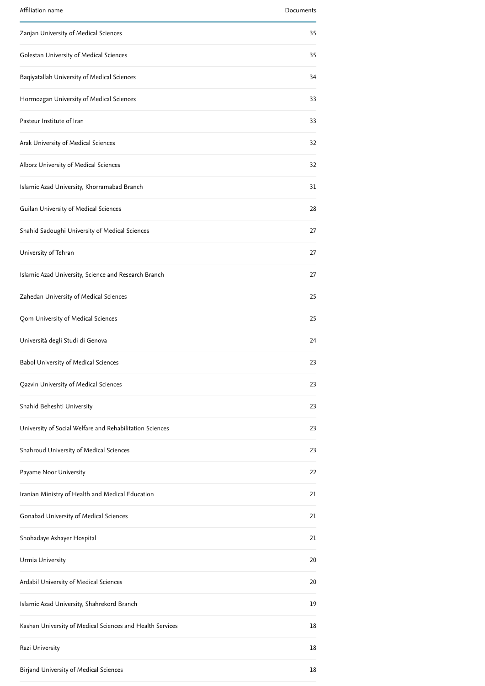| Affiliation name                                          | Documents |
|-----------------------------------------------------------|-----------|
| Zanjan University of Medical Sciences                     | 35        |
| Golestan University of Medical Sciences                   | 35        |
| Baqiyatallah University of Medical Sciences               | 34        |
| Hormozgan University of Medical Sciences                  | 33        |
| Pasteur Institute of Iran                                 | 33        |
| Arak University of Medical Sciences                       | 32        |
| Alborz University of Medical Sciences                     | 32        |
| Islamic Azad University, Khorramabad Branch               | 31        |
| Guilan University of Medical Sciences                     | 28        |
| Shahid Sadoughi University of Medical Sciences            | 27        |
| University of Tehran                                      | 27        |
| Islamic Azad University, Science and Research Branch      | 27        |
| Zahedan University of Medical Sciences                    | 25        |
| Qom University of Medical Sciences                        | 25        |
| Università degli Studi di Genova                          | 24        |
| Babol University of Medical Sciences                      | 23        |
| Qazvin University of Medical Sciences                     | 23        |
| Shahid Beheshti University                                | 23        |
| University of Social Welfare and Rehabilitation Sciences  | 23        |
| Shahroud University of Medical Sciences                   | 23        |
| Payame Noor University                                    | 22        |
| Iranian Ministry of Health and Medical Education          | 21        |
| Gonabad University of Medical Sciences                    | 21        |
| Shohadaye Ashayer Hospital                                | 21        |
| Urmia University                                          | 20        |
| Ardabil University of Medical Sciences                    | 20        |
| Islamic Azad University, Shahrekord Branch                | 19        |
| Kashan University of Medical Sciences and Health Services | 18        |
| Razi University                                           | 18        |
| Birjand University of Medical Sciences                    | 18        |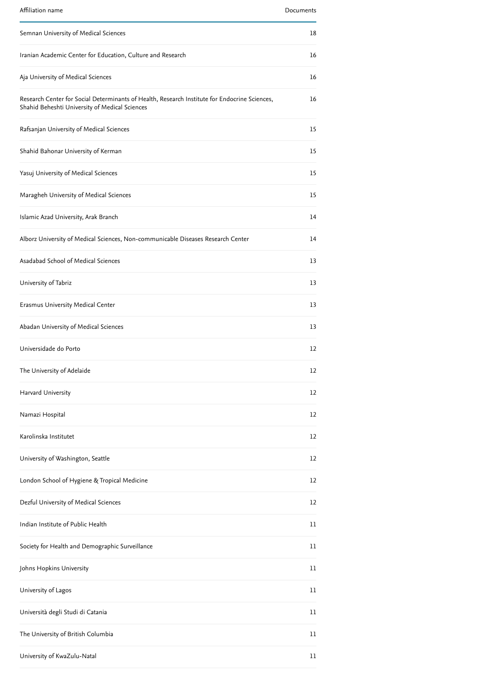| Affiliation name                                                                                                                                | Documents |
|-------------------------------------------------------------------------------------------------------------------------------------------------|-----------|
| Semnan University of Medical Sciences                                                                                                           | 18        |
| Iranian Academic Center for Education, Culture and Research                                                                                     | 16        |
| Aja University of Medical Sciences                                                                                                              | 16        |
| Research Center for Social Determinants of Health, Research Institute for Endocrine Sciences,<br>Shahid Beheshti University of Medical Sciences | 16        |
| Rafsanjan University of Medical Sciences                                                                                                        | 15        |
| Shahid Bahonar University of Kerman                                                                                                             | 15        |
| Yasuj University of Medical Sciences                                                                                                            | 15        |
| Maragheh University of Medical Sciences                                                                                                         | 15        |
| Islamic Azad University, Arak Branch                                                                                                            | 14        |
| Alborz University of Medical Sciences, Non-communicable Diseases Research Center                                                                | 14        |
| Asadabad School of Medical Sciences                                                                                                             | 13        |
| University of Tabriz                                                                                                                            | 13        |
| Erasmus University Medical Center                                                                                                               | 13        |
| Abadan University of Medical Sciences                                                                                                           | 13        |
| Universidade do Porto                                                                                                                           | 12        |
| The University of Adelaide                                                                                                                      | 12        |
| Harvard University                                                                                                                              | 12        |
| Namazi Hospital                                                                                                                                 | 12        |
| Karolinska Institutet                                                                                                                           | 12        |
| University of Washington, Seattle                                                                                                               | 12        |
| London School of Hygiene & Tropical Medicine                                                                                                    | 12        |
| Dezful University of Medical Sciences                                                                                                           | 12        |
| Indian Institute of Public Health                                                                                                               | 11        |
| Society for Health and Demographic Surveillance                                                                                                 | 11        |
| Johns Hopkins University                                                                                                                        | 11        |
| University of Lagos                                                                                                                             | 11        |
| Università degli Studi di Catania                                                                                                               | 11        |
| The University of British Columbia                                                                                                              | 11        |
| University of KwaZulu-Natal                                                                                                                     | 11        |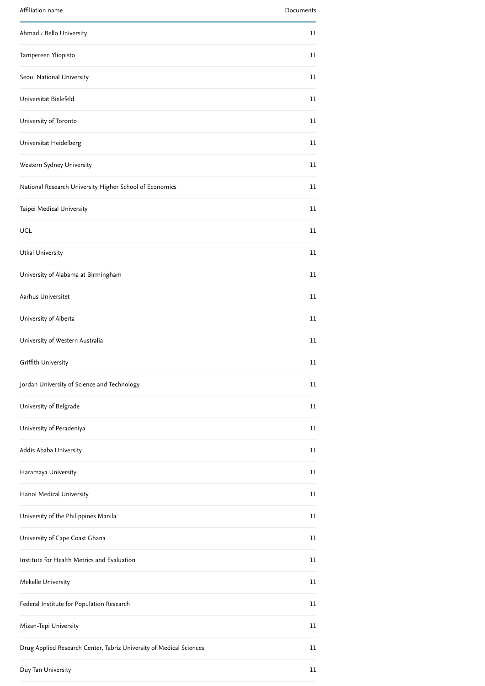| Affiliation name                                                    | Documents |
|---------------------------------------------------------------------|-----------|
| Ahmadu Bello University                                             | 11        |
| Tampereen Yliopisto                                                 | 11        |
| Seoul National University                                           | 11        |
| Universität Bielefeld                                               | 11        |
| University of Toronto                                               | 11        |
| Universität Heidelberg                                              | 11        |
| Western Sydney University                                           | 11        |
| National Research University Higher School of Economics             | 11        |
| Taipei Medical University                                           | 11        |
| UCL                                                                 | 11        |
| Utkal University                                                    | 11        |
| University of Alabama at Birmingham                                 | 11        |
| Aarhus Universitet                                                  | 11        |
| University of Alberta                                               | 11        |
| University of Western Australia                                     | 11        |
| Griffith University                                                 | 11        |
| Jordan University of Science and Technology                         | 11        |
| University of Belgrade                                              | 11        |
| University of Peradeniya                                            | 11        |
| Addis Ababa University                                              | 11        |
| Haramaya University                                                 | 11        |
| Hanoi Medical University                                            | 11        |
| University of the Philippines Manila                                | 11        |
| University of Cape Coast Ghana                                      | 11        |
| Institute for Health Metrics and Evaluation                         | 11        |
| Mekelle University                                                  | 11        |
| Federal Institute for Population Research                           | 11        |
| Mizan-Tepi University                                               | 11        |
| Drug Applied Research Center, Tabriz University of Medical Sciences | 11        |
| Duy Tan University                                                  | 11        |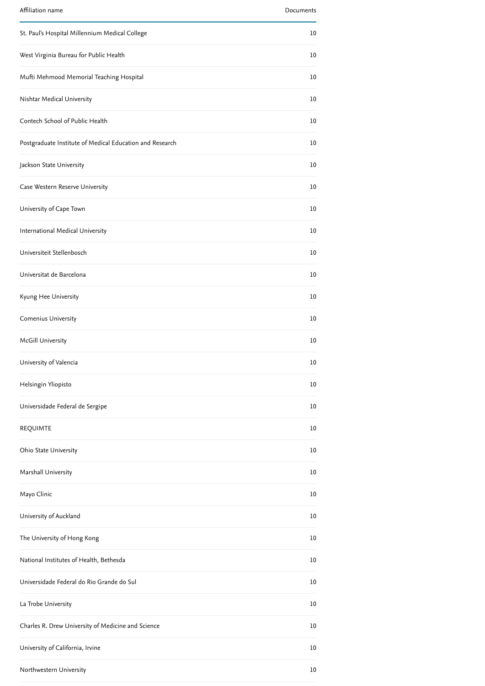| Affiliation name                                         | Documents |
|----------------------------------------------------------|-----------|
| St. Paul's Hospital Millennium Medical College           | 10        |
| West Virginia Bureau for Public Health                   | 10        |
| Mufti Mehmood Memorial Teaching Hospital                 | 10        |
| Nishtar Medical University                               | 10        |
| Contech School of Public Health                          | 10        |
| Postgraduate Institute of Medical Education and Research | 10        |
| Jackson State University                                 | 10        |
| Case Western Reserve University                          | 10        |
| University of Cape Town                                  | 10        |
| International Medical University                         | 10        |
| Universiteit Stellenbosch                                | 10        |
| Universitat de Barcelona                                 | 10        |
| Kyung Hee University                                     | 10        |
| Comenius University                                      | 10        |
| McGill University                                        | 10        |
| University of Valencia                                   | 10        |
| Helsingin Yliopisto                                      | 10        |
| Universidade Federal de Sergipe                          | 10        |
| <b>REQUIMTE</b>                                          | 10        |
| Ohio State University                                    | 10        |
| Marshall University                                      | 10        |
| Mayo Clinic                                              | 10        |
| University of Auckland                                   | 10        |
| The University of Hong Kong                              | 10        |
| National Institutes of Health, Bethesda                  | 10        |
| Universidade Federal do Rio Grande do Sul                | 10        |
| La Trobe University                                      | 10        |
| Charles R. Drew University of Medicine and Science       | 10        |
| University of California, Irvine                         | 10        |
| Northwestern University                                  | 10        |